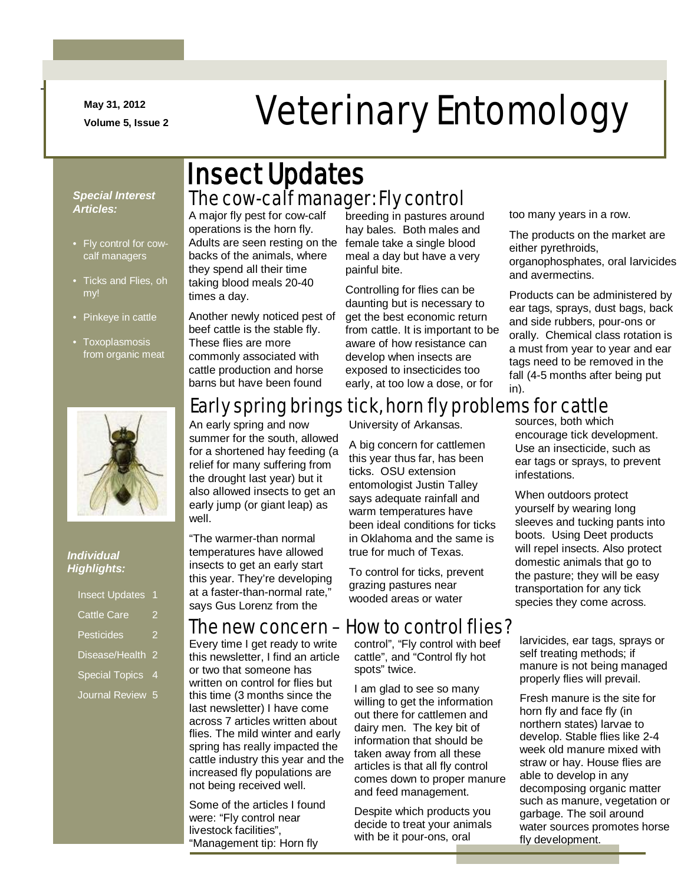**May 31, 2012**

-

# May 31, 2012<br>Volume 5, Issue 2<br>
Veterinary Entomology

#### *Special Interest Articles:*

- Fly control for cowcalf managers
- Ticks and Flies, oh my!
- Pinkeye in cattle
- Toxoplasmosis from organic meat



#### *Individual Highlights:*

| <b>Insect Updates</b> |   |
|-----------------------|---|
| <b>Cattle Care</b>    | 2 |
| <b>Pesticides</b>     | 2 |
| Disease/Health        | 2 |
| <b>Special Topics</b> | 4 |
| <b>Journal Review</b> | 5 |

### The cow-calf manager: Fly control Insect Updates

A major fly pest for cow-calf operations is the horn fly. Adults are seen resting on the backs of the animals, where they spend all their time taking blood meals 20-40 times a day.

Another newly noticed pest of beef cattle is the stable fly. These flies are more commonly associated with cattle production and horse barns but have been found

breeding in pastures around hay bales. Both males and female take a single blood meal a day but have a very painful bite.

Controlling for flies can be daunting but is necessary to get the best economic return from cattle. It is important to be aware of how resistance can develop when insects are exposed to insecticides too early, at too low a dose, or for

too many years in a row.

The products on the market are either pyrethroids, organophosphates, oral larvicides and avermectins.

Products can be administered by ear tags, sprays, dust bags, back and side rubbers, pour-ons or orally. Chemical class rotation is a must from year to year and ear tags need to be removed in the fall (4-5 months after being put in).

### Early spring brings tick, horn fly problems for cattle

An early spring and now summer for the south, allowed for a shortened hay feeding (a relief for many suffering from the drought last year) but it also allowed insects to get an early jump (or giant leap) as well.

"The warmer-than normal temperatures have allowed insects to get an early start this year. They're developing at a faster-than-normal rate," says Gus Lorenz from the

Every time I get ready to write this newsletter, I find an article or two that someone has written on control for flies but this time (3 months since the last newsletter) I have come across 7 articles written about flies. The mild winter and early spring has really impacted the cattle industry this year and the increased fly populations are not being received well.

Some of the articles I found were: "Fly control near livestock facilities", "Management tip: Horn fly

University of Arkansas.

A big concern for cattlemen this year thus far, has been ticks. OSU extension entomologist Justin Talley says adequate rainfall and warm temperatures have been ideal conditions for ticks in Oklahoma and the same is true for much of Texas.

To control for ticks, prevent grazing pastures near wooded areas or water

### The new concern – How to control flies?

control", "Fly control with beef cattle", and "Control fly hot spots" twice.

I am glad to see so many willing to get the information out there for cattlemen and dairy men. The key bit of information that should be taken away from all these articles is that all fly control comes down to proper manure and feed management.

Despite which products you decide to treat your animals with be it pour-ons, oral

sources, both which encourage tick development. Use an insecticide, such as ear tags or sprays, to prevent infestations.

When outdoors protect yourself by wearing long sleeves and tucking pants into boots. Using Deet products will repel insects. Also protect domestic animals that go to the pasture; they will be easy transportation for any tick species they come across.

larvicides, ear tags, sprays or self treating methods; if manure is not being managed properly flies will prevail.

Fresh manure is the site for horn fly and face fly (in northern states) larvae to develop. Stable flies like 2-4 week old manure mixed with straw or hay. House flies are able to develop in any decomposing organic matter such as manure, vegetation or garbage. The soil around water sources promotes horse fly development.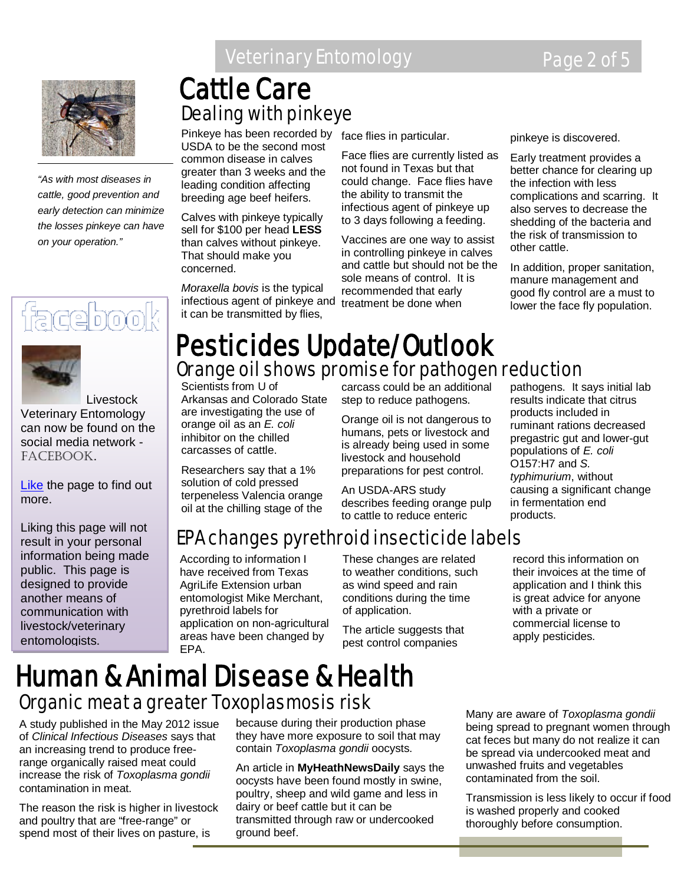

*"As with most diseases in cattle, good prevention and early detection can minimize the losses pinkeye can have on your operation."*

# facebool



 Livestock Veterinary Entomology can now be found on the social media network facebook.

[Like](http://www.facebook.com/home.php#!/pages/Livestock-Veterinary-Entomology/167510926643206) the page to find out more.

Liking this page will not result in your personal information being made public. This page is designed to provide another means of communication with livestock/veterinary entomologists.

### **Veterinary Entomology Page 2 of 5**

## Dealing with pinkeye Cattle Care

Pinkeye has been recorded by face flies in particular. USDA to be the second most common disease in calves greater than 3 weeks and the leading condition affecting breeding age beef heifers.

Calves with pinkeye typically sell for \$100 per head **LESS** than calves without pinkeye. That should make you concerned.

*Moraxella bovis* is the typical infectious agent of pinkeye and treatment be done when it can be transmitted by flies,

Face flies are currently listed as not found in Texas but that could change. Face flies have the ability to transmit the infectious agent of pinkeye up to 3 days following a feeding.

Vaccines are one way to assist in controlling pinkeye in calves and cattle but should not be the sole means of control. It is recommended that early

pinkeye is discovered.

Early treatment provides a better chance for clearing up the infection with less complications and scarring. It also serves to decrease the shedding of the bacteria and the risk of transmission to other cattle.

In addition, proper sanitation, manure management and good fly control are a must to lower the face fly population.

### Orange oil shows promise for pathogen reduction Pesticides Update/Outlook

Scientists from U of Arkansas and Colorado State are investigating the use of orange oil as an *E. coli* inhibitor on the chilled carcasses of cattle.

Researchers say that a 1% solution of cold pressed terpeneless Valencia orange oil at the chilling stage of the

carcass could be an additional step to reduce pathogens.

Orange oil is not dangerous to humans, pets or livestock and is already being used in some livestock and household preparations for pest control.

An USDA-ARS study describes feeding orange pulp to cattle to reduce enteric

pathogens. It says initial lab results indicate that citrus products included in ruminant rations decreased pregastric gut and lower-gut populations of *E. coli* O157:H7 and *S. typhimurium*, without causing a significant change in fermentation end products.

## EPA changes pyrethroid insecticide labels

According to information I have received from Texas AgriLife Extension urban entomologist Mike Merchant, pyrethroid labels for application on non-agricultural areas have been changed by EPA.

These changes are related to weather conditions, such as wind speed and rain conditions during the time of application.

The article suggests that pest control companies

record this information on their invoices at the time of application and I think this is great advice for anyone with a private or commercial license to apply pesticides.

### Human & Animal Disease & Health Organic meat a greater Toxoplasmosis risk

A study published in the May 2012 issue of *Clinical Infectious Diseases* says that an increasing trend to produce freerange organically raised meat could increase the risk of *Toxoplasma gondii* contamination in meat.

The reason the risk is higher in livestock and poultry that are "free-range" or spend most of their lives on pasture, is

because during their production phase they have more exposure to soil that may contain *Toxoplasma gondii* oocysts.

An article in **MyHeathNewsDaily** says the oocysts have been found mostly in swine, poultry, sheep and wild game and less in dairy or beef cattle but it can be transmitted through raw or undercooked ground beef.

Many are aware of *Toxoplasma gondii* being spread to pregnant women through cat feces but many do not realize it can be spread via undercooked meat and unwashed fruits and vegetables contaminated from the soil.

Transmission is less likely to occur if food is washed properly and cooked thoroughly before consumption.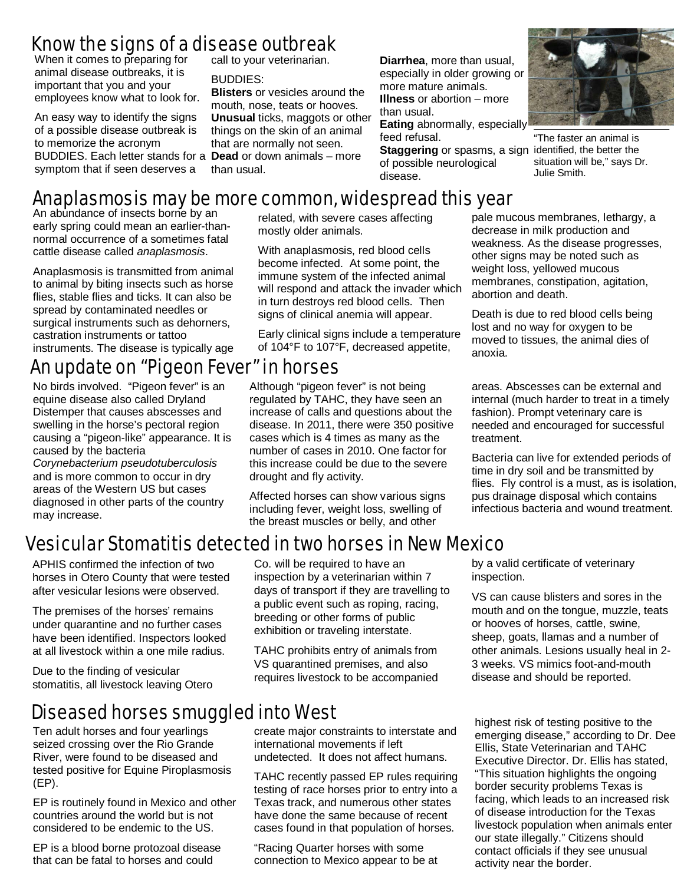### Know the signs of a disease outbreak

When it comes to preparing for animal disease outbreaks, it is important that you and your employees know what to look for.

An easy way to identify the signs of a possible disease outbreak is to memorize the acronym BUDDIES. Each letter stands for a **Dead** or down animals – more symptom that if seen deserves a

call to your veterinarian.

#### BUDDIES:

**Blisters** or vesicles around the mouth, nose, teats or hooves. **Unusual** ticks, maggots or other things on the skin of an animal that are normally not seen. than usual.

**Diarrhea**, more than usual, especially in older growing or more mature animals. **Illness** or abortion – more than usual.

**Eating** abnormally, especially feed refusal.

**Staggering** or spasms, a sign identified, the better the of possible neurological disease.



"The faster an animal is situation will be," says Dr. Julie Smith.

### Anaplasmosis may be more common, widespread this year

An abundance of insects borne by an early spring could mean an earlier-thannormal occurrence of a sometimes fatal cattle disease called *anaplasmosis*.

Anaplasmosis is transmitted from animal to animal by biting insects such as horse flies, stable flies and ticks. It can also be spread by contaminated needles or surgical instruments such as dehorners, castration instruments or tattoo instruments. The disease is typically age

### An update on "Pigeon Fever" in horses

No birds involved. "Pigeon fever" is an equine disease also called Dryland Distemper that causes abscesses and swelling in the horse's pectoral region causing a "pigeon-like" appearance. It is caused by the bacteria

*Corynebacterium pseudotuberculosis* and is more common to occur in dry areas of the Western US but cases diagnosed in other parts of the country may increase.

related, with severe cases affecting mostly older animals.

 will respond and attack the invader which in turn destroys red blood cells. Then With anaplasmosis, red blood cells become infected. At some point, the immune system of the infected animal signs of clinical anemia will appear.

j Early clinical signs include a temperature of 104°F to 107°F, decreased appetite,

Although "pigeon fever" is not being regulated by TAHC, they have seen an increase of calls and questions about the disease. In 2011, there were 350 positive cases which is 4 times as many as the number of cases in 2010. One factor for this increase could be due to the severe drought and fly activity.

Affected horses can show various signs including fever, weight loss, swelling of the breast muscles or belly, and other

 decrease in milk production and weight loss, yellowed mucous pale mucous membranes, lethargy, a weakness. As the disease progresses, other signs may be noted such as membranes, constipation, agitation, abortion and death.

Death is due to red blood cells being lost and no way for oxygen to be moved to tissues, the animal dies of anoxia.

areas. Abscesses can be external and internal (much harder to treat in a timely fashion). Prompt veterinary care is needed and encouraged for successful treatment.

Bacteria can live for extended periods of time in dry soil and be transmitted by flies. Fly control is a must, as is isolation, pus drainage disposal which contains infectious bacteria and wound treatment.

### Vesicular Stomatitis detected in two horses in New Mexico

APHIS confirmed the infection of two horses in Otero County that were tested after vesicular lesions were observed.

The premises of the horses' remains under quarantine and no further cases have been identified. Inspectors looked at all livestock within a one mile radius.

Due to the finding of vesicular stomatitis, all livestock leaving Otero

### Diseased horses smuggled into West

Ten adult horses and four yearlings<br>seized crossing over the Rio Grand seized crossing over the Rio Grande River, were found to be diseased and tested positive for Equine Piroplasmosis (EP).

EP is routinely found in Mexico and other countries around the world but is not considered to be endemic to the US.

EP is a blood borne protozoal disease that can be fatal to horses and could

Co. will be required to have an inspection by a veterinarian within 7 days of transport if they are travelling to a public event such as roping, racing, breeding or other forms of public exhibition or traveling interstate.

TAHC prohibits entry of animals from VS quarantined premises, and also requires livestock to be accompanied

create major constraints to interstate and international movements if left undetected. It does not affect humans.

TAHC recently passed EP rules requiring testing of race horses prior to entry into a Texas track, and numerous other states have done the same because of recent cases found in that population of horses.

"Racing Quarter horses with some connection to Mexico appear to be at by a valid certificate of veterinary inspection.

VS can cause blisters and sores in the mouth and on the tongue, muzzle, teats or hooves of horses, cattle, swine, sheep, goats, llamas and a number of other animals. Lesions usually heal in 2- 3 weeks. VS mimics foot-and-mouth disease and should be reported.

highest risk of testing positive to the emerging disease," according to Dr. Dee Ellis, State Veterinarian and TAHC Executive Director. Dr. Ellis has stated, "This situation highlights the ongoing border security problems Texas is facing, which leads to an increased risk of disease introduction for the Texas livestock population when animals enter our state illegally." Citizens should contact officials if they see unusual activity near the border.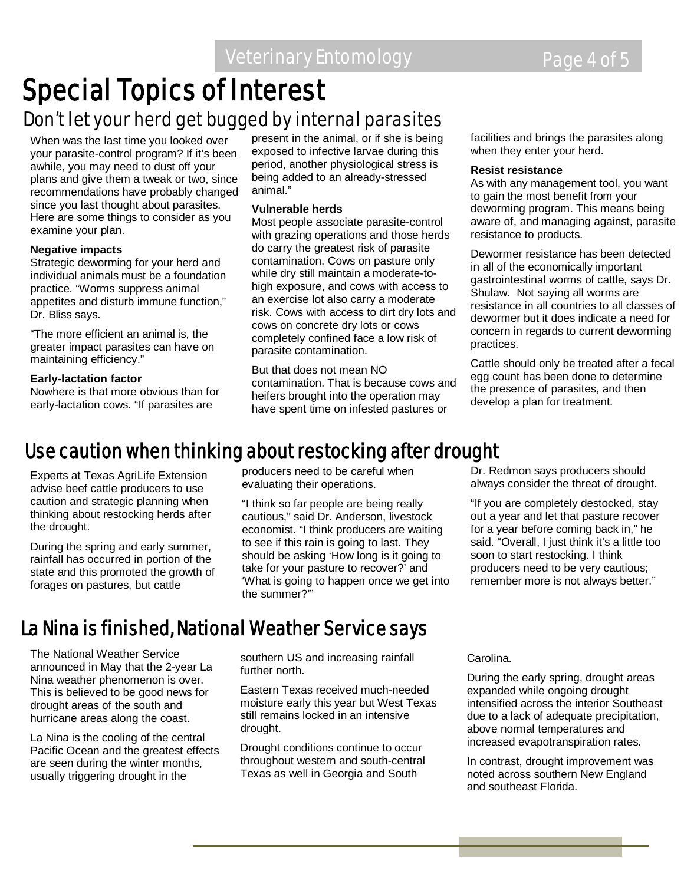# **Special Topics of Interest**<br>Don't let your herd get bugged by internal parasites

When was the last time you looked over your parasite-control program? If it's been awhile, you may need to dust off your plans and give them a tweak or two, since recommendations have probably changed since you last thought about parasites. Here are some things to consider as you examine your plan.

#### **Negative impacts**

Strategic deworming for your herd and individual animals must be a foundation practice. "Worms suppress animal appetites and disturb immune function," Dr. Bliss says.

"The more efficient an animal is, the greater impact parasites can have on maintaining efficiency."

#### **Early-lactation factor**

Nowhere is that more obvious than for early-lactation cows. "If parasites are

present in the animal, or if she is being exposed to infective larvae during this period, another physiological stress is being added to an already-stressed animal."

#### **Vulnerable herds**

Most people associate parasite-control with grazing operations and those herds do carry the greatest risk of parasite contamination. Cows on pasture only while dry still maintain a moderate-tohigh exposure, and cows with access to an exercise lot also carry a moderate risk. Cows with access to dirt dry lots and cows on concrete dry lots or cows completely confined face a low risk of parasite contamination.

But that does not mean NO contamination. That is because cows and heifers brought into the operation may have spent time on infested pastures or

facilities and brings the parasites along when they enter your herd.

#### **Resist resistance**

As with any management tool, you want to gain the most benefit from your deworming program. This means being aware of, and managing against, parasite resistance to products.

Dewormer resistance has been detected in all of the economically important gastrointestinal worms of cattle, says Dr. Shulaw. Not saying all worms are resistance in all countries to all classes of dewormer but it does indicate a need for concern in regards to current deworming practices.

Cattle should only be treated after a fecal egg count has been done to determine the presence of parasites, and then develop a plan for treatment.

### Use caution when thinking about restocking after drought

Experts at Texas AgriLife Extension advise beef cattle producers to use caution and strategic planning when thinking about restocking herds after the drought.

During the spring and early summer, rainfall has occurred in portion of the state and this promoted the growth of forages on pastures, but cattle

producers need to be careful when evaluating their operations.

"I think so far people are being really cautious," said Dr. Anderson, livestock economist. "I think producers are waiting to see if this rain is going to last. They should be asking 'How long is it going to take for your pasture to recover?' and 'What is going to happen once we get into the summer?'"

Dr. Redmon says producers should always consider the threat of drought.

"If you are completely destocked, stay out a year and let that pasture recover for a year before coming back in," he said. "Overall, I just think it's a little too soon to start restocking. I think producers need to be very cautious; remember more is not always better."

### La Nina is finished, National Weather Service says

The National Weather Service announced in May that the 2-year La Nina weather phenomenon is over. This is believed to be good news for drought areas of the south and hurricane areas along the coast.

La Nina is the cooling of the central Pacific Ocean and the greatest effects are seen during the winter months, usually triggering drought in the

southern US and increasing rainfall further north.

Eastern Texas received much-needed moisture early this year but West Texas still remains locked in an intensive drought.

Drought conditions continue to occur throughout western and south-central Texas as well in Georgia and South

Carolina.

During the early spring, drought areas expanded while ongoing drought intensified across the interior Southeast due to a lack of adequate precipitation, above normal temperatures and increased evapotranspiration rates.

In contrast, drought improvement was noted across southern New England and southeast Florida.